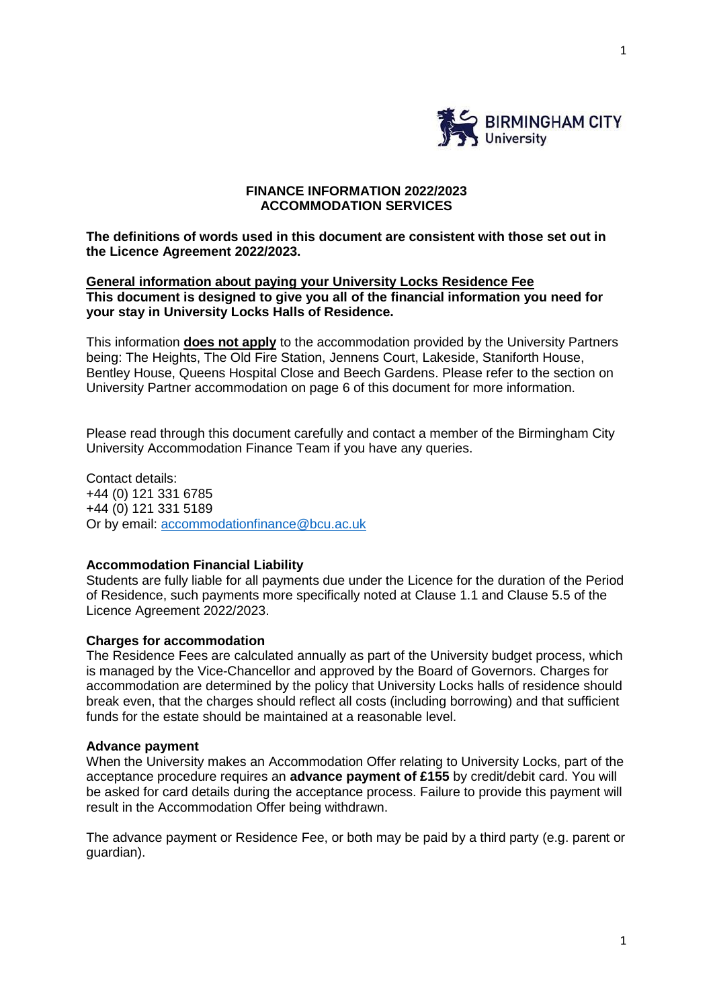

# **FINANCE INFORMATION 2022/2023 ACCOMMODATION SERVICES**

**The definitions of words used in this document are consistent with those set out in the Licence Agreement 2022/2023.**

# **General information about paying your University Locks Residence Fee This document is designed to give you all of the financial information you need for your stay in University Locks Halls of Residence.**

This information **does not apply** to the accommodation provided by the University Partners being: The Heights, The Old Fire Station, Jennens Court, Lakeside, Staniforth House, Bentley House, Queens Hospital Close and Beech Gardens. Please refer to the section on University Partner accommodation on page 6 of this document for more information.

Please read through this document carefully and contact a member of the Birmingham City University Accommodation Finance Team if you have any queries.

Contact details: +44 (0) 121 331 6785 +44 (0) 121 331 5189 Or by email: [accommodationfinance@bcu.ac.uk](mailto:accommodationfinance@bcu.ac.uk)

### **Accommodation Financial Liability**

Students are fully liable for all payments due under the Licence for the duration of the Period of Residence, such payments more specifically noted at Clause 1.1 and Clause 5.5 of the Licence Agreement 2022/2023.

### **Charges for accommodation**

The Residence Fees are calculated annually as part of the University budget process, which is managed by the Vice-Chancellor and approved by the Board of Governors. Charges for accommodation are determined by the policy that University Locks halls of residence should break even, that the charges should reflect all costs (including borrowing) and that sufficient funds for the estate should be maintained at a reasonable level.

### **Advance payment**

When the University makes an Accommodation Offer relating to University Locks, part of the acceptance procedure requires an **advance payment of £155** by credit/debit card. You will be asked for card details during the acceptance process. Failure to provide this payment will result in the Accommodation Offer being withdrawn.

The advance payment or Residence Fee, or both may be paid by a third party (e.g. parent or guardian).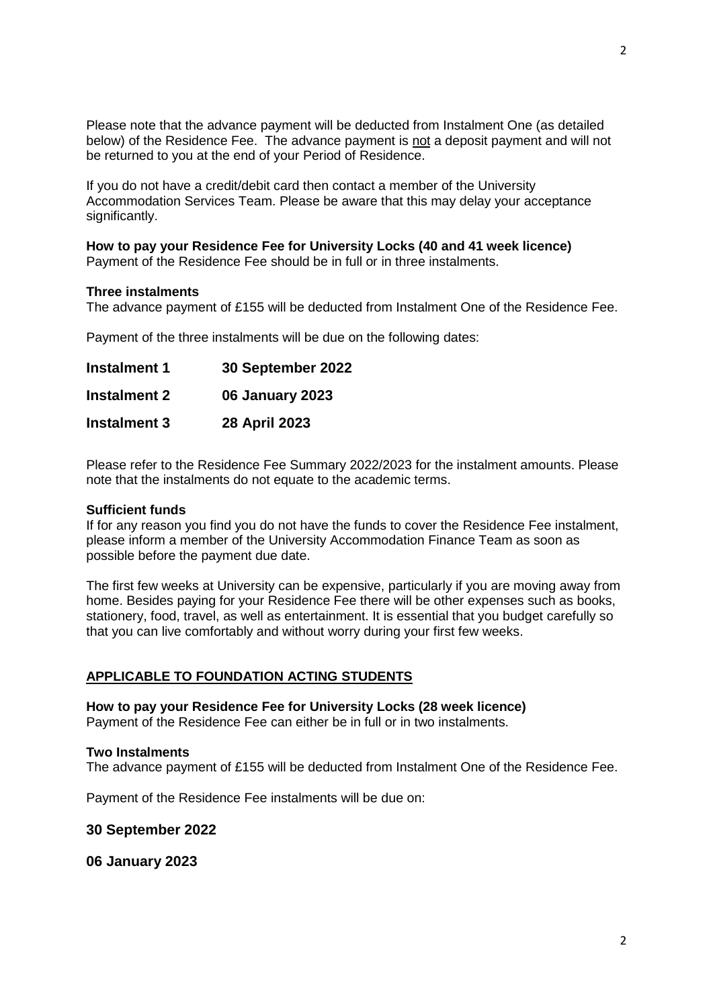Please note that the advance payment will be deducted from Instalment One (as detailed below) of the Residence Fee. The advance payment is not a deposit payment and will not be returned to you at the end of your Period of Residence.

If you do not have a credit/debit card then contact a member of the University Accommodation Services Team. Please be aware that this may delay your acceptance significantly.

# **How to pay your Residence Fee for University Locks (40 and 41 week licence)**

Payment of the Residence Fee should be in full or in three instalments.

### **Three instalments**

The advance payment of £155 will be deducted from Instalment One of the Residence Fee.

Payment of the three instalments will be due on the following dates:

| <b>Instalment 1</b> | 30 September 2022      |
|---------------------|------------------------|
| <b>Instalment 2</b> | <b>06 January 2023</b> |
| <b>Instalment 3</b> | 28 April 2023          |

Please refer to the Residence Fee Summary 2022/2023 for the instalment amounts. Please note that the instalments do not equate to the academic terms.

### **Sufficient funds**

If for any reason you find you do not have the funds to cover the Residence Fee instalment, please inform a member of the University Accommodation Finance Team as soon as possible before the payment due date.

The first few weeks at University can be expensive, particularly if you are moving away from home. Besides paying for your Residence Fee there will be other expenses such as books, stationery, food, travel, as well as entertainment. It is essential that you budget carefully so that you can live comfortably and without worry during your first few weeks.

# **APPLICABLE TO FOUNDATION ACTING STUDENTS**

**How to pay your Residence Fee for University Locks (28 week licence)** Payment of the Residence Fee can either be in full or in two instalments.

### **Two Instalments**

The advance payment of £155 will be deducted from Instalment One of the Residence Fee.

Payment of the Residence Fee instalments will be due on:

**30 September 2022**

**06 January 2023**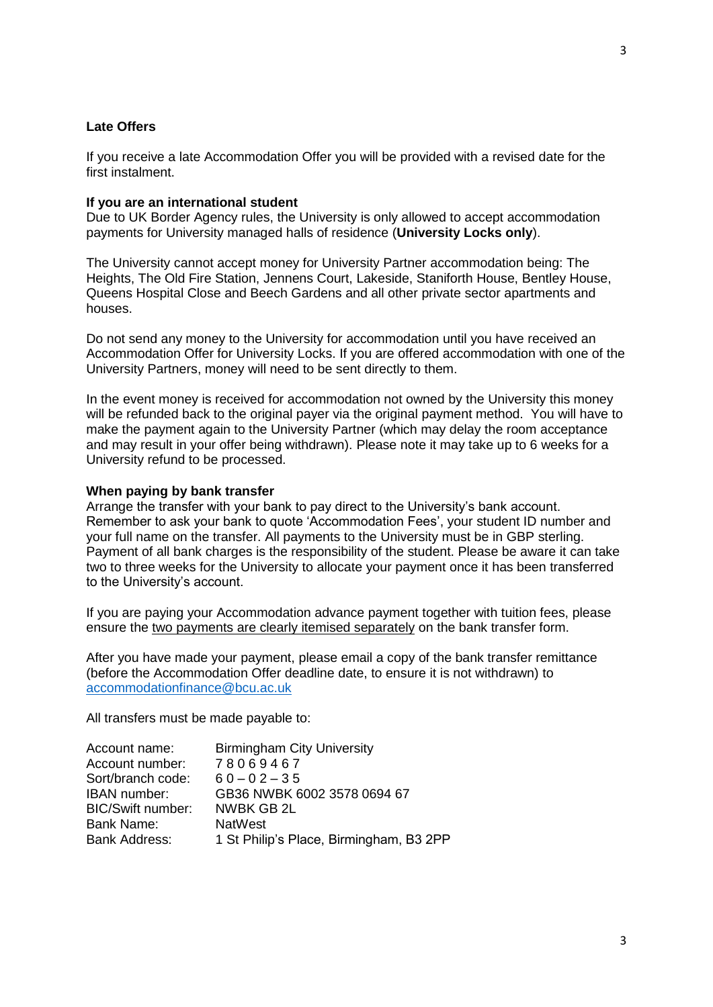# **Late Offers**

If you receive a late Accommodation Offer you will be provided with a revised date for the first instalment.

#### **If you are an international student**

Due to UK Border Agency rules, the University is only allowed to accept accommodation payments for University managed halls of residence (**University Locks only**).

The University cannot accept money for University Partner accommodation being: The Heights, The Old Fire Station, Jennens Court, Lakeside, Staniforth House, Bentley House, Queens Hospital Close and Beech Gardens and all other private sector apartments and houses.

Do not send any money to the University for accommodation until you have received an Accommodation Offer for University Locks. If you are offered accommodation with one of the University Partners, money will need to be sent directly to them.

In the event money is received for accommodation not owned by the University this money will be refunded back to the original payer via the original payment method. You will have to make the payment again to the University Partner (which may delay the room acceptance and may result in your offer being withdrawn). Please note it may take up to 6 weeks for a University refund to be processed.

### **When paying by bank transfer**

Arrange the transfer with your bank to pay direct to the University's bank account. Remember to ask your bank to quote 'Accommodation Fees', your student ID number and your full name on the transfer. All payments to the University must be in GBP sterling. Payment of all bank charges is the responsibility of the student. Please be aware it can take two to three weeks for the University to allocate your payment once it has been transferred to the University's account.

If you are paying your Accommodation advance payment together with tuition fees, please ensure the two payments are clearly itemised separately on the bank transfer form.

After you have made your payment, please email a copy of the bank transfer remittance (before the Accommodation Offer deadline date, to ensure it is not withdrawn) to [accommodationfinance@bcu.ac.uk](mailto:accommodationfinance@bcu.ac.uk)

All transfers must be made payable to:

| Account name:        | <b>Birmingham City University</b>       |
|----------------------|-----------------------------------------|
| Account number:      | 78069467                                |
| Sort/branch code:    | $60 - 02 - 35$                          |
| <b>IBAN</b> number:  | GB36 NWBK 6002 3578 0694 67             |
| BIC/Swift number:    | NWBK GB 2L                              |
| Bank Name:           | <b>NatWest</b>                          |
| <b>Bank Address:</b> | 1 St Philip's Place, Birmingham, B3 2PP |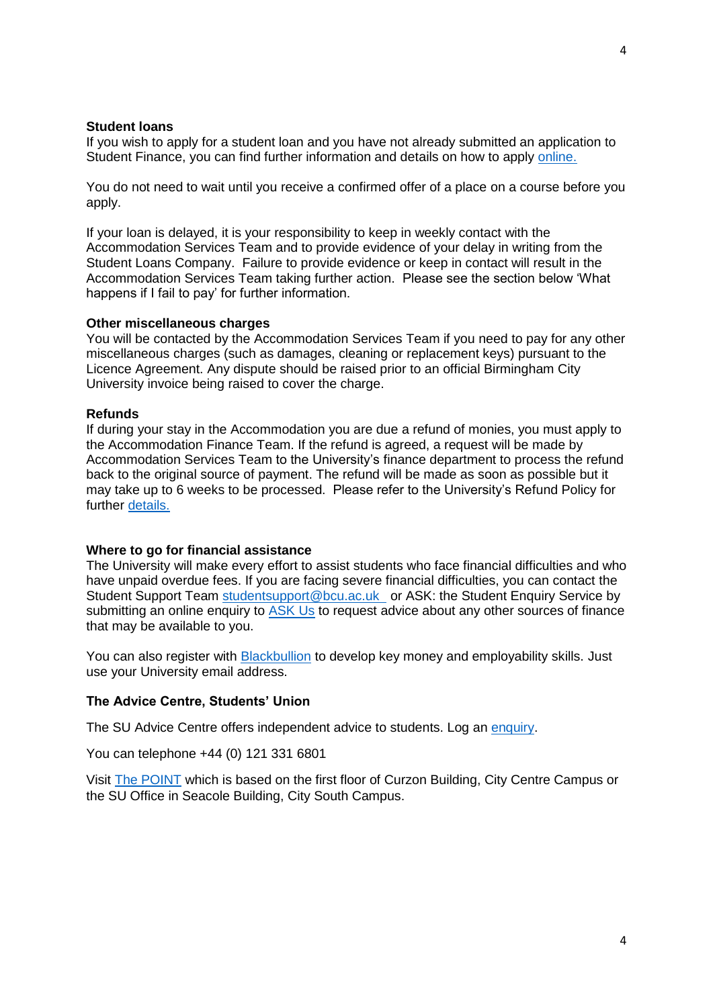#### **Student loans**

If you wish to apply for a student loan and you have not already submitted an application to Student Finance, you can find further information and details on how to apply [online.](https://www.gov.uk/student-finance)

You do not need to wait until you receive a confirmed offer of a place on a course before you apply.

If your loan is delayed, it is your responsibility to keep in weekly contact with the Accommodation Services Team and to provide evidence of your delay in writing from the Student Loans Company. Failure to provide evidence or keep in contact will result in the Accommodation Services Team taking further action. Please see the section below 'What happens if I fail to pay' for further information.

### **Other miscellaneous charges**

You will be contacted by the Accommodation Services Team if you need to pay for any other miscellaneous charges (such as damages, cleaning or replacement keys) pursuant to the Licence Agreement. Any dispute should be raised prior to an official Birmingham City University invoice being raised to cover the charge.

#### **Refunds**

If during your stay in the Accommodation you are due a refund of monies, you must apply to the Accommodation Finance Team. If the refund is agreed, a request will be made by Accommodation Services Team to the University's finance department to process the refund back to the original source of payment. The refund will be made as soon as possible but it may take up to 6 weeks to be processed. Please refer to the University's Refund Policy for further [details.](http://www.bcu.ac.uk/about-us/corporate-information/policies-and-procedures/student-contract)

#### **Where to go for financial assistance**

The University will make every effort to assist students who face financial difficulties and who have unpaid overdue fees. If you are facing severe financial difficulties, you can contact the Student Support Team [studentsupport@bcu.ac.uk](mailto:studentsupport@bcu.ac.uk) or ASK: the Student Enquiry Service by submitting an online enquiry to [ASK Us](https://iask.bcu.ac.uk/Login/login?) to request advice about any other sources of finance that may be available to you.

You can also register with [Blackbullion](https://www.blackbullion.com/) to develop key money and employability skills. Just use your University email address.

# **The Advice Centre, Students' Union**

The SU Advice Centre offers independent advice to students. Log an [enquiry.](http://www.bcusu.com/advice/enquiry-form/)

You can telephone +44 (0) 121 331 6801

Visit [The POINT](https://www.bcusu.com/the-point/) which is based on the first floor of Curzon Building, City Centre Campus or the SU Office in Seacole Building, City South Campus.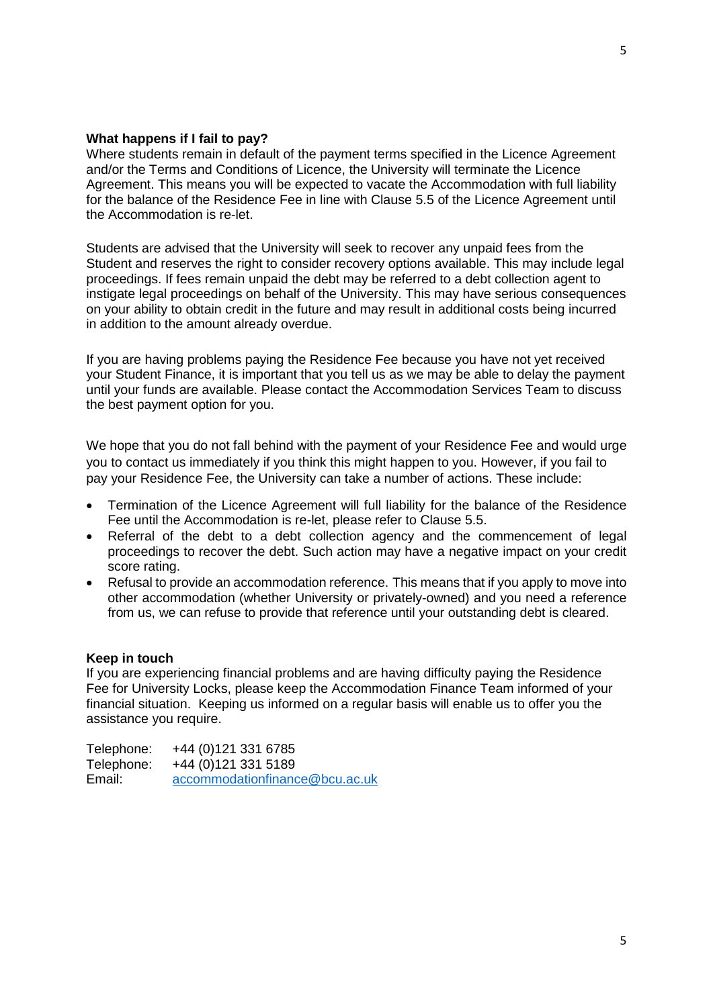### **What happens if I fail to pay?**

Where students remain in default of the payment terms specified in the Licence Agreement and/or the Terms and Conditions of Licence, the University will terminate the Licence Agreement. This means you will be expected to vacate the Accommodation with full liability for the balance of the Residence Fee in line with Clause 5.5 of the Licence Agreement until the Accommodation is re-let.

Students are advised that the University will seek to recover any unpaid fees from the Student and reserves the right to consider recovery options available. This may include legal proceedings. If fees remain unpaid the debt may be referred to a debt collection agent to instigate legal proceedings on behalf of the University. This may have serious consequences on your ability to obtain credit in the future and may result in additional costs being incurred in addition to the amount already overdue.

If you are having problems paying the Residence Fee because you have not yet received your Student Finance, it is important that you tell us as we may be able to delay the payment until your funds are available. Please contact the Accommodation Services Team to discuss the best payment option for you.

We hope that you do not fall behind with the payment of your Residence Fee and would urge you to contact us immediately if you think this might happen to you. However, if you fail to pay your Residence Fee, the University can take a number of actions. These include:

- Termination of the Licence Agreement will full liability for the balance of the Residence Fee until the Accommodation is re-let, please refer to Clause 5.5.
- Referral of the debt to a debt collection agency and the commencement of legal proceedings to recover the debt. Such action may have a negative impact on your credit score rating.
- Refusal to provide an accommodation reference. This means that if you apply to move into other accommodation (whether University or privately-owned) and you need a reference from us, we can refuse to provide that reference until your outstanding debt is cleared.

#### **Keep in touch**

If you are experiencing financial problems and are having difficulty paying the Residence Fee for University Locks, please keep the Accommodation Finance Team informed of your financial situation. Keeping us informed on a regular basis will enable us to offer you the assistance you require.

Telephone: +44 (0)121 331 6785 Telephone: +44 (0)121 331 5189 Email: [accommodationfinance@bcu.ac.uk](mailto:accommodationfinance@bcu.ac.uk)